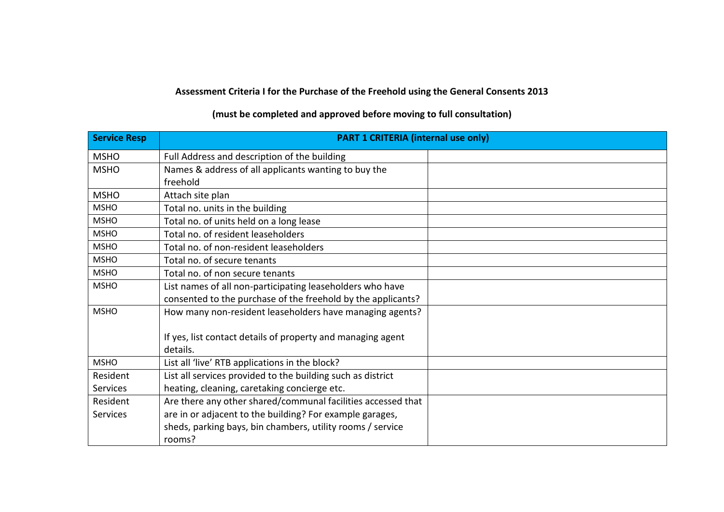## **Assessment Criteria I for the Purchase of the Freehold using the General Consents 2013**

## **Service Resp PART 1 CRITERIA (internal use only)** MSHO Full Address and description of the building MSHO Names & address of all applicants wanting to buy the freehold MSHO | Attach site plan  $MSHO$  Total no. units in the building MSHO Total no. of units held on a long lease MSHO **Total no. of resident leaseholders** MSHO Total no. of non-resident leaseholders  $MSHO$   $\qquad$   $\qquad$  Total no. of secure tenants  $MSHO$   $\qquad$   $\qquad$  Total no. of non secure tenants MSHO List names of all non-participating leaseholders who have consented to the purchase of the freehold by the applicants? MSHO How many non-resident leaseholders have managing agents? If yes, list contact details of property and managing agent details. MSHO **List all 'live' RTB applications in the block?** Resident Services List all services provided to the building such as district heating, cleaning, caretaking concierge etc. Resident **Services** Are there any other shared/communal facilities accessed that are in or adjacent to the building? For example garages, sheds, parking bays, bin chambers, utility rooms / service rooms?

## **(must be completed and approved before moving to full consultation)**